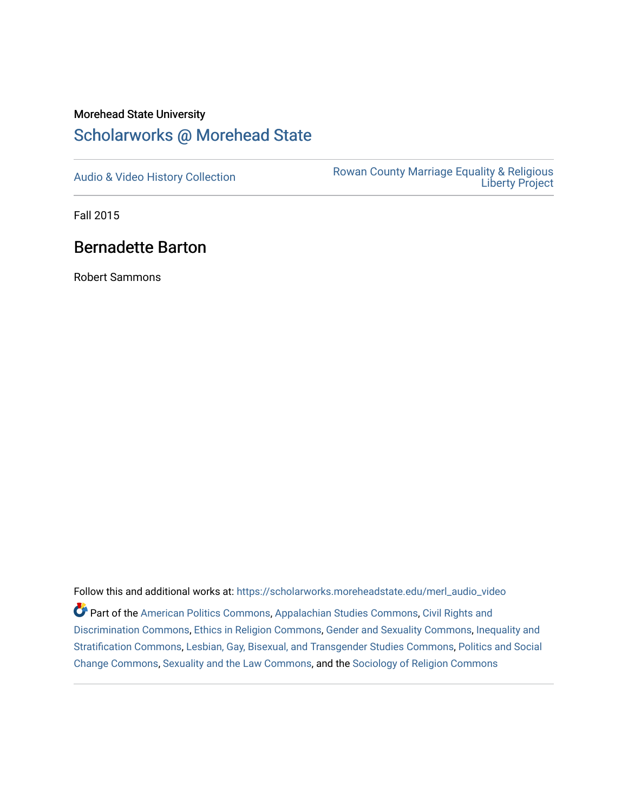## Morehead State University

## [Scholarworks @ Morehead State](https://scholarworks.moreheadstate.edu/)

[Audio & Video History Collection](https://scholarworks.moreheadstate.edu/merl_audio_video) **Rowan County Marriage Equality & Religious** [Liberty Project](https://scholarworks.moreheadstate.edu/merl) 

Fall 2015

## Bernadette Barton

Robert Sammons

Follow this and additional works at: [https://scholarworks.moreheadstate.edu/merl\\_audio\\_video](https://scholarworks.moreheadstate.edu/merl_audio_video?utm_source=scholarworks.moreheadstate.edu%2Fmerl_audio_video%2F96&utm_medium=PDF&utm_campaign=PDFCoverPages)  Part of the [American Politics Commons,](http://network.bepress.com/hgg/discipline/387?utm_source=scholarworks.moreheadstate.edu%2Fmerl_audio_video%2F96&utm_medium=PDF&utm_campaign=PDFCoverPages) [Appalachian Studies Commons,](http://network.bepress.com/hgg/discipline/1253?utm_source=scholarworks.moreheadstate.edu%2Fmerl_audio_video%2F96&utm_medium=PDF&utm_campaign=PDFCoverPages) [Civil Rights and](http://network.bepress.com/hgg/discipline/585?utm_source=scholarworks.moreheadstate.edu%2Fmerl_audio_video%2F96&utm_medium=PDF&utm_campaign=PDFCoverPages) [Discrimination Commons,](http://network.bepress.com/hgg/discipline/585?utm_source=scholarworks.moreheadstate.edu%2Fmerl_audio_video%2F96&utm_medium=PDF&utm_campaign=PDFCoverPages) [Ethics in Religion Commons,](http://network.bepress.com/hgg/discipline/541?utm_source=scholarworks.moreheadstate.edu%2Fmerl_audio_video%2F96&utm_medium=PDF&utm_campaign=PDFCoverPages) [Gender and Sexuality Commons](http://network.bepress.com/hgg/discipline/420?utm_source=scholarworks.moreheadstate.edu%2Fmerl_audio_video%2F96&utm_medium=PDF&utm_campaign=PDFCoverPages), [Inequality and](http://network.bepress.com/hgg/discipline/421?utm_source=scholarworks.moreheadstate.edu%2Fmerl_audio_video%2F96&utm_medium=PDF&utm_campaign=PDFCoverPages)  [Stratification Commons](http://network.bepress.com/hgg/discipline/421?utm_source=scholarworks.moreheadstate.edu%2Fmerl_audio_video%2F96&utm_medium=PDF&utm_campaign=PDFCoverPages), [Lesbian, Gay, Bisexual, and Transgender Studies Commons,](http://network.bepress.com/hgg/discipline/560?utm_source=scholarworks.moreheadstate.edu%2Fmerl_audio_video%2F96&utm_medium=PDF&utm_campaign=PDFCoverPages) [Politics and Social](http://network.bepress.com/hgg/discipline/425?utm_source=scholarworks.moreheadstate.edu%2Fmerl_audio_video%2F96&utm_medium=PDF&utm_campaign=PDFCoverPages)  [Change Commons](http://network.bepress.com/hgg/discipline/425?utm_source=scholarworks.moreheadstate.edu%2Fmerl_audio_video%2F96&utm_medium=PDF&utm_campaign=PDFCoverPages), [Sexuality and the Law Commons,](http://network.bepress.com/hgg/discipline/877?utm_source=scholarworks.moreheadstate.edu%2Fmerl_audio_video%2F96&utm_medium=PDF&utm_campaign=PDFCoverPages) and the [Sociology of Religion Commons](http://network.bepress.com/hgg/discipline/1365?utm_source=scholarworks.moreheadstate.edu%2Fmerl_audio_video%2F96&utm_medium=PDF&utm_campaign=PDFCoverPages)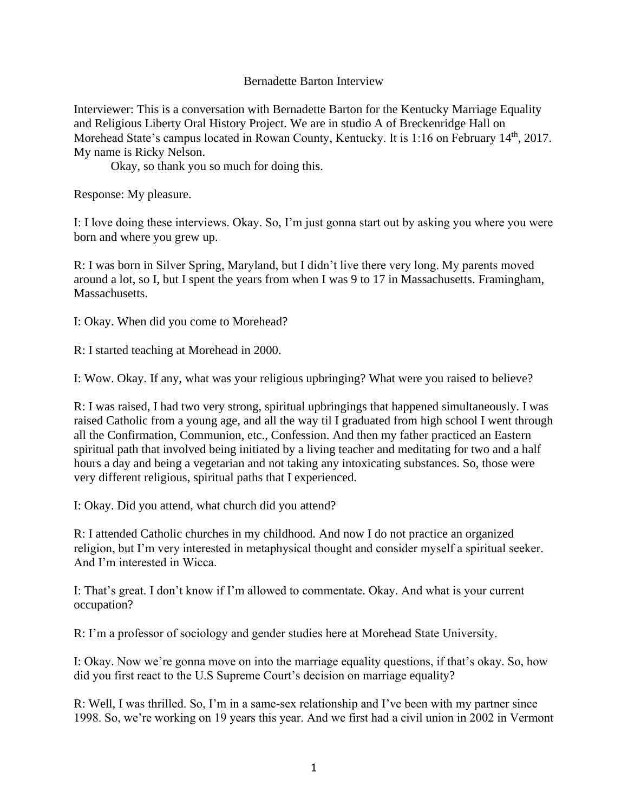## Bernadette Barton Interview

Interviewer: This is a conversation with Bernadette Barton for the Kentucky Marriage Equality and Religious Liberty Oral History Project. We are in studio A of Breckenridge Hall on Morehead State's campus located in Rowan County, Kentucky. It is 1:16 on February 14<sup>th</sup>, 2017. My name is Ricky Nelson.

Okay, so thank you so much for doing this.

Response: My pleasure.

I: I love doing these interviews. Okay. So, I'm just gonna start out by asking you where you were born and where you grew up.

R: I was born in Silver Spring, Maryland, but I didn't live there very long. My parents moved around a lot, so I, but I spent the years from when I was 9 to 17 in Massachusetts. Framingham, Massachusetts.

I: Okay. When did you come to Morehead?

R: I started teaching at Morehead in 2000.

I: Wow. Okay. If any, what was your religious upbringing? What were you raised to believe?

R: I was raised, I had two very strong, spiritual upbringings that happened simultaneously. I was raised Catholic from a young age, and all the way til I graduated from high school I went through all the Confirmation, Communion, etc., Confession. And then my father practiced an Eastern spiritual path that involved being initiated by a living teacher and meditating for two and a half hours a day and being a vegetarian and not taking any intoxicating substances. So, those were very different religious, spiritual paths that I experienced.

I: Okay. Did you attend, what church did you attend?

R: I attended Catholic churches in my childhood. And now I do not practice an organized religion, but I'm very interested in metaphysical thought and consider myself a spiritual seeker. And I'm interested in Wicca.

I: That's great. I don't know if I'm allowed to commentate. Okay. And what is your current occupation?

R: I'm a professor of sociology and gender studies here at Morehead State University.

I: Okay. Now we're gonna move on into the marriage equality questions, if that's okay. So, how did you first react to the U.S Supreme Court's decision on marriage equality?

R: Well, I was thrilled. So, I'm in a same-sex relationship and I've been with my partner since 1998. So, we're working on 19 years this year. And we first had a civil union in 2002 in Vermont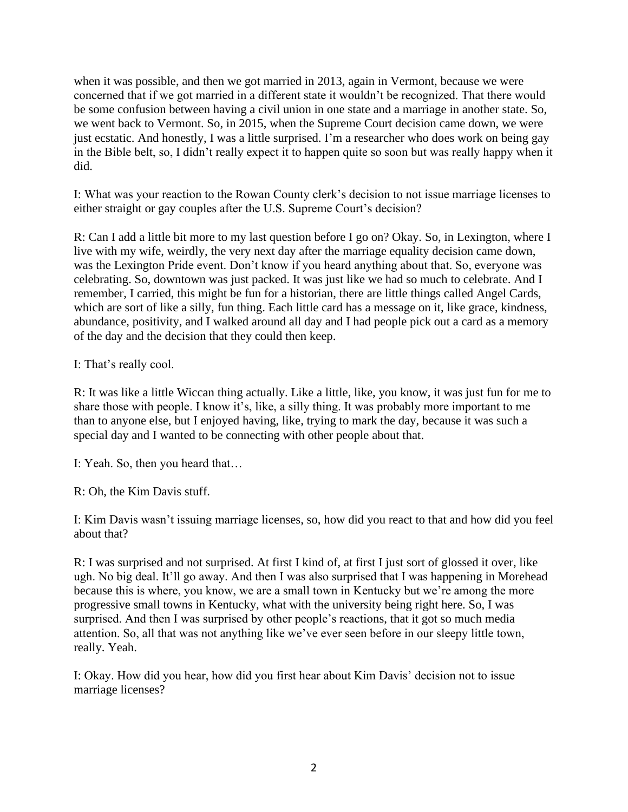when it was possible, and then we got married in 2013, again in Vermont, because we were concerned that if we got married in a different state it wouldn't be recognized. That there would be some confusion between having a civil union in one state and a marriage in another state. So, we went back to Vermont. So, in 2015, when the Supreme Court decision came down, we were just ecstatic. And honestly, I was a little surprised. I'm a researcher who does work on being gay in the Bible belt, so, I didn't really expect it to happen quite so soon but was really happy when it did.

I: What was your reaction to the Rowan County clerk's decision to not issue marriage licenses to either straight or gay couples after the U.S. Supreme Court's decision?

R: Can I add a little bit more to my last question before I go on? Okay. So, in Lexington, where I live with my wife, weirdly, the very next day after the marriage equality decision came down, was the Lexington Pride event. Don't know if you heard anything about that. So, everyone was celebrating. So, downtown was just packed. It was just like we had so much to celebrate. And I remember, I carried, this might be fun for a historian, there are little things called Angel Cards, which are sort of like a silly, fun thing. Each little card has a message on it, like grace, kindness, abundance, positivity, and I walked around all day and I had people pick out a card as a memory of the day and the decision that they could then keep.

I: That's really cool.

R: It was like a little Wiccan thing actually. Like a little, like, you know, it was just fun for me to share those with people. I know it's, like, a silly thing. It was probably more important to me than to anyone else, but I enjoyed having, like, trying to mark the day, because it was such a special day and I wanted to be connecting with other people about that.

I: Yeah. So, then you heard that…

R: Oh, the Kim Davis stuff.

I: Kim Davis wasn't issuing marriage licenses, so, how did you react to that and how did you feel about that?

R: I was surprised and not surprised. At first I kind of, at first I just sort of glossed it over, like ugh. No big deal. It'll go away. And then I was also surprised that I was happening in Morehead because this is where, you know, we are a small town in Kentucky but we're among the more progressive small towns in Kentucky, what with the university being right here. So, I was surprised. And then I was surprised by other people's reactions, that it got so much media attention. So, all that was not anything like we've ever seen before in our sleepy little town, really. Yeah.

I: Okay. How did you hear, how did you first hear about Kim Davis' decision not to issue marriage licenses?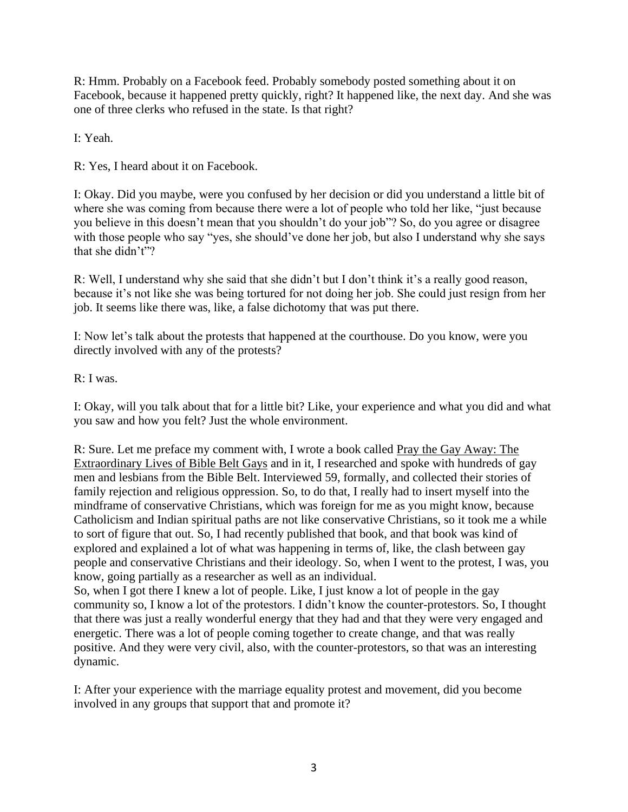R: Hmm. Probably on a Facebook feed. Probably somebody posted something about it on Facebook, because it happened pretty quickly, right? It happened like, the next day. And she was one of three clerks who refused in the state. Is that right?

I: Yeah.

R: Yes, I heard about it on Facebook.

I: Okay. Did you maybe, were you confused by her decision or did you understand a little bit of where she was coming from because there were a lot of people who told her like, "just because you believe in this doesn't mean that you shouldn't do your job"? So, do you agree or disagree with those people who say "yes, she should've done her job, but also I understand why she says that she didn't"?

R: Well, I understand why she said that she didn't but I don't think it's a really good reason, because it's not like she was being tortured for not doing her job. She could just resign from her job. It seems like there was, like, a false dichotomy that was put there.

I: Now let's talk about the protests that happened at the courthouse. Do you know, were you directly involved with any of the protests?

R: I was.

I: Okay, will you talk about that for a little bit? Like, your experience and what you did and what you saw and how you felt? Just the whole environment.

R: Sure. Let me preface my comment with, I wrote a book called Pray the Gay Away: The Extraordinary Lives of Bible Belt Gays and in it, I researched and spoke with hundreds of gay men and lesbians from the Bible Belt. Interviewed 59, formally, and collected their stories of family rejection and religious oppression. So, to do that, I really had to insert myself into the mindframe of conservative Christians, which was foreign for me as you might know, because Catholicism and Indian spiritual paths are not like conservative Christians, so it took me a while to sort of figure that out. So, I had recently published that book, and that book was kind of explored and explained a lot of what was happening in terms of, like, the clash between gay people and conservative Christians and their ideology. So, when I went to the protest, I was, you know, going partially as a researcher as well as an individual.

So, when I got there I knew a lot of people. Like, I just know a lot of people in the gay community so, I know a lot of the protestors. I didn't know the counter-protestors. So, I thought that there was just a really wonderful energy that they had and that they were very engaged and energetic. There was a lot of people coming together to create change, and that was really positive. And they were very civil, also, with the counter-protestors, so that was an interesting dynamic.

I: After your experience with the marriage equality protest and movement, did you become involved in any groups that support that and promote it?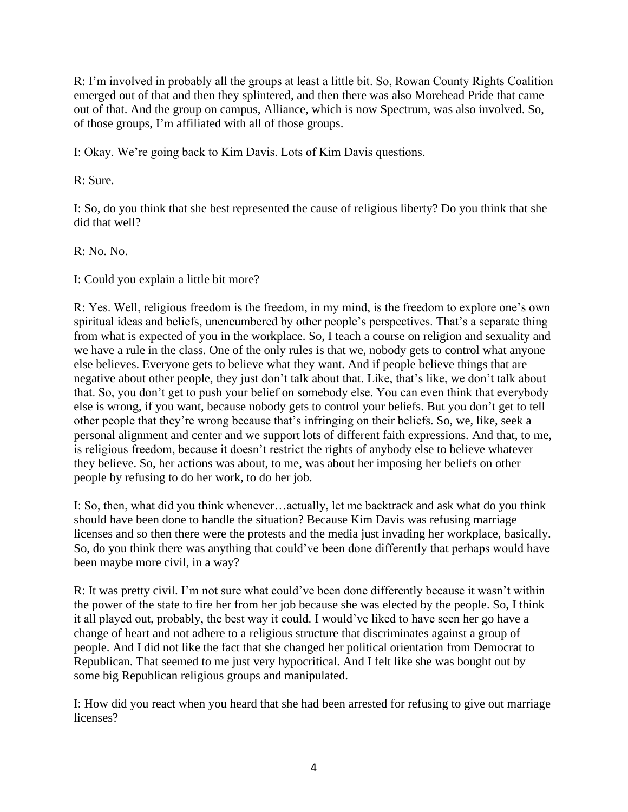R: I'm involved in probably all the groups at least a little bit. So, Rowan County Rights Coalition emerged out of that and then they splintered, and then there was also Morehead Pride that came out of that. And the group on campus, Alliance, which is now Spectrum, was also involved. So, of those groups, I'm affiliated with all of those groups.

I: Okay. We're going back to Kim Davis. Lots of Kim Davis questions.

R: Sure.

I: So, do you think that she best represented the cause of religious liberty? Do you think that she did that well?

R: No. No.

I: Could you explain a little bit more?

R: Yes. Well, religious freedom is the freedom, in my mind, is the freedom to explore one's own spiritual ideas and beliefs, unencumbered by other people's perspectives. That's a separate thing from what is expected of you in the workplace. So, I teach a course on religion and sexuality and we have a rule in the class. One of the only rules is that we, nobody gets to control what anyone else believes. Everyone gets to believe what they want. And if people believe things that are negative about other people, they just don't talk about that. Like, that's like, we don't talk about that. So, you don't get to push your belief on somebody else. You can even think that everybody else is wrong, if you want, because nobody gets to control your beliefs. But you don't get to tell other people that they're wrong because that's infringing on their beliefs. So, we, like, seek a personal alignment and center and we support lots of different faith expressions. And that, to me, is religious freedom, because it doesn't restrict the rights of anybody else to believe whatever they believe. So, her actions was about, to me, was about her imposing her beliefs on other people by refusing to do her work, to do her job.

I: So, then, what did you think whenever…actually, let me backtrack and ask what do you think should have been done to handle the situation? Because Kim Davis was refusing marriage licenses and so then there were the protests and the media just invading her workplace, basically. So, do you think there was anything that could've been done differently that perhaps would have been maybe more civil, in a way?

R: It was pretty civil. I'm not sure what could've been done differently because it wasn't within the power of the state to fire her from her job because she was elected by the people. So, I think it all played out, probably, the best way it could. I would've liked to have seen her go have a change of heart and not adhere to a religious structure that discriminates against a group of people. And I did not like the fact that she changed her political orientation from Democrat to Republican. That seemed to me just very hypocritical. And I felt like she was bought out by some big Republican religious groups and manipulated.

I: How did you react when you heard that she had been arrested for refusing to give out marriage licenses?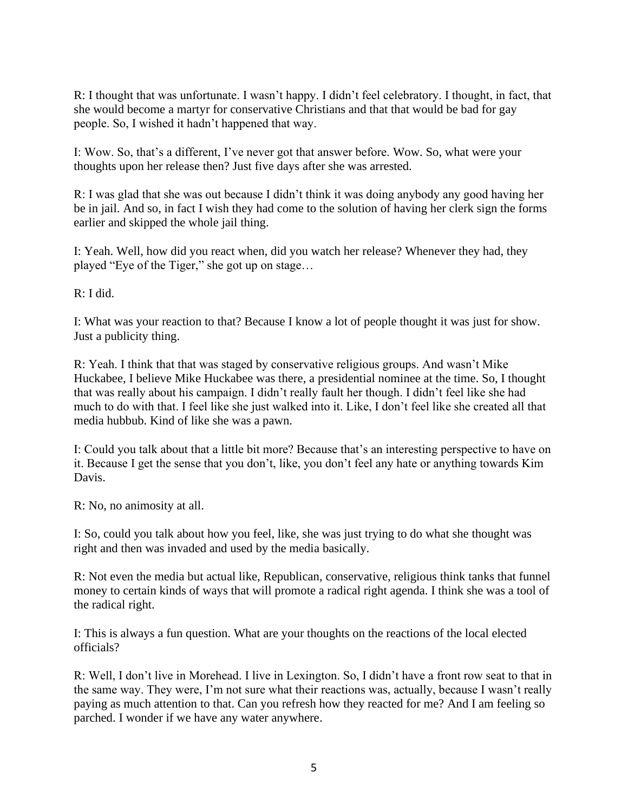R: I thought that was unfortunate. I wasn't happy. I didn't feel celebratory. I thought, in fact, that she would become a martyr for conservative Christians and that that would be bad for gay people. So, I wished it hadn't happened that way.

I: Wow. So, that's a different, I've never got that answer before. Wow. So, what were your thoughts upon her release then? Just five days after she was arrested.

R: I was glad that she was out because I didn't think it was doing anybody any good having her be in jail. And so, in fact I wish they had come to the solution of having her clerk sign the forms earlier and skipped the whole jail thing.

I: Yeah. Well, how did you react when, did you watch her release? Whenever they had, they played "Eye of the Tiger," she got up on stage…

R: I did.

I: What was your reaction to that? Because I know a lot of people thought it was just for show. Just a publicity thing.

R: Yeah. I think that that was staged by conservative religious groups. And wasn't Mike Huckabee, I believe Mike Huckabee was there, a presidential nominee at the time. So, I thought that was really about his campaign. I didn't really fault her though. I didn't feel like she had much to do with that. I feel like she just walked into it. Like, I don't feel like she created all that media hubbub. Kind of like she was a pawn.

I: Could you talk about that a little bit more? Because that's an interesting perspective to have on it. Because I get the sense that you don't, like, you don't feel any hate or anything towards Kim Davis.

R: No, no animosity at all.

I: So, could you talk about how you feel, like, she was just trying to do what she thought was right and then was invaded and used by the media basically.

R: Not even the media but actual like, Republican, conservative, religious think tanks that funnel money to certain kinds of ways that will promote a radical right agenda. I think she was a tool of the radical right.

I: This is always a fun question. What are your thoughts on the reactions of the local elected officials?

R: Well, I don't live in Morehead. I live in Lexington. So, I didn't have a front row seat to that in the same way. They were, I'm not sure what their reactions was, actually, because I wasn't really paying as much attention to that. Can you refresh how they reacted for me? And I am feeling so parched. I wonder if we have any water anywhere.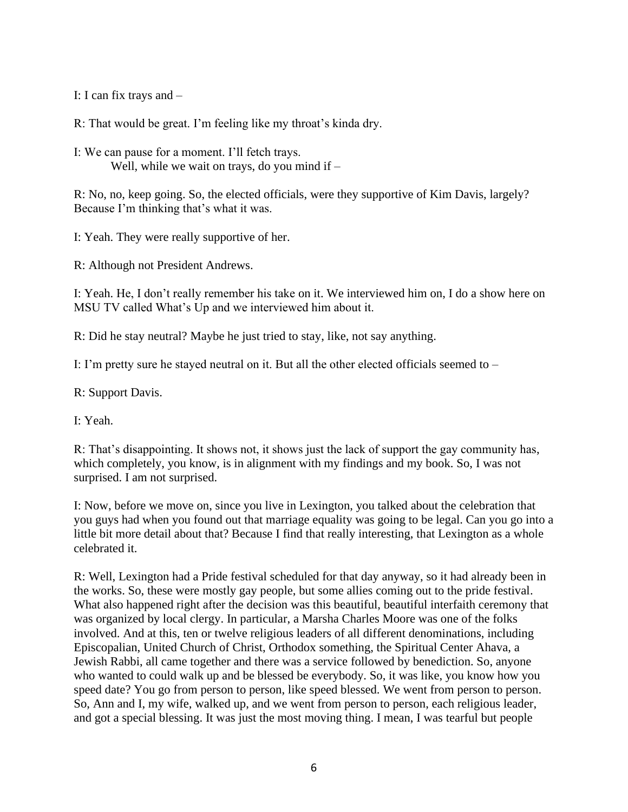I: I can fix trays and –

R: That would be great. I'm feeling like my throat's kinda dry.

I: We can pause for a moment. I'll fetch trays. Well, while we wait on trays, do you mind if  $-$ 

R: No, no, keep going. So, the elected officials, were they supportive of Kim Davis, largely? Because I'm thinking that's what it was.

I: Yeah. They were really supportive of her.

R: Although not President Andrews.

I: Yeah. He, I don't really remember his take on it. We interviewed him on, I do a show here on MSU TV called What's Up and we interviewed him about it.

R: Did he stay neutral? Maybe he just tried to stay, like, not say anything.

I: I'm pretty sure he stayed neutral on it. But all the other elected officials seemed to –

R: Support Davis.

I: Yeah.

R: That's disappointing. It shows not, it shows just the lack of support the gay community has, which completely, you know, is in alignment with my findings and my book. So, I was not surprised. I am not surprised.

I: Now, before we move on, since you live in Lexington, you talked about the celebration that you guys had when you found out that marriage equality was going to be legal. Can you go into a little bit more detail about that? Because I find that really interesting, that Lexington as a whole celebrated it.

R: Well, Lexington had a Pride festival scheduled for that day anyway, so it had already been in the works. So, these were mostly gay people, but some allies coming out to the pride festival. What also happened right after the decision was this beautiful, beautiful interfaith ceremony that was organized by local clergy. In particular, a Marsha Charles Moore was one of the folks involved. And at this, ten or twelve religious leaders of all different denominations, including Episcopalian, United Church of Christ, Orthodox something, the Spiritual Center Ahava, a Jewish Rabbi, all came together and there was a service followed by benediction. So, anyone who wanted to could walk up and be blessed be everybody. So, it was like, you know how you speed date? You go from person to person, like speed blessed. We went from person to person. So, Ann and I, my wife, walked up, and we went from person to person, each religious leader, and got a special blessing. It was just the most moving thing. I mean, I was tearful but people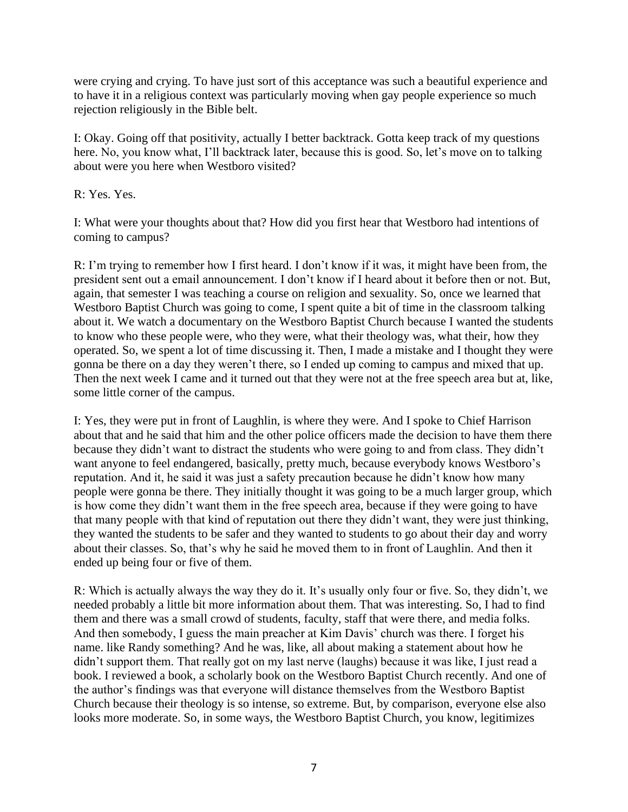were crying and crying. To have just sort of this acceptance was such a beautiful experience and to have it in a religious context was particularly moving when gay people experience so much rejection religiously in the Bible belt.

I: Okay. Going off that positivity, actually I better backtrack. Gotta keep track of my questions here. No, you know what, I'll backtrack later, because this is good. So, let's move on to talking about were you here when Westboro visited?

R: Yes. Yes.

I: What were your thoughts about that? How did you first hear that Westboro had intentions of coming to campus?

R: I'm trying to remember how I first heard. I don't know if it was, it might have been from, the president sent out a email announcement. I don't know if I heard about it before then or not. But, again, that semester I was teaching a course on religion and sexuality. So, once we learned that Westboro Baptist Church was going to come, I spent quite a bit of time in the classroom talking about it. We watch a documentary on the Westboro Baptist Church because I wanted the students to know who these people were, who they were, what their theology was, what their, how they operated. So, we spent a lot of time discussing it. Then, I made a mistake and I thought they were gonna be there on a day they weren't there, so I ended up coming to campus and mixed that up. Then the next week I came and it turned out that they were not at the free speech area but at, like, some little corner of the campus.

I: Yes, they were put in front of Laughlin, is where they were. And I spoke to Chief Harrison about that and he said that him and the other police officers made the decision to have them there because they didn't want to distract the students who were going to and from class. They didn't want anyone to feel endangered, basically, pretty much, because everybody knows Westboro's reputation. And it, he said it was just a safety precaution because he didn't know how many people were gonna be there. They initially thought it was going to be a much larger group, which is how come they didn't want them in the free speech area, because if they were going to have that many people with that kind of reputation out there they didn't want, they were just thinking, they wanted the students to be safer and they wanted to students to go about their day and worry about their classes. So, that's why he said he moved them to in front of Laughlin. And then it ended up being four or five of them.

R: Which is actually always the way they do it. It's usually only four or five. So, they didn't, we needed probably a little bit more information about them. That was interesting. So, I had to find them and there was a small crowd of students, faculty, staff that were there, and media folks. And then somebody, I guess the main preacher at Kim Davis' church was there. I forget his name. like Randy something? And he was, like, all about making a statement about how he didn't support them. That really got on my last nerve (laughs) because it was like, I just read a book. I reviewed a book, a scholarly book on the Westboro Baptist Church recently. And one of the author's findings was that everyone will distance themselves from the Westboro Baptist Church because their theology is so intense, so extreme. But, by comparison, everyone else also looks more moderate. So, in some ways, the Westboro Baptist Church, you know, legitimizes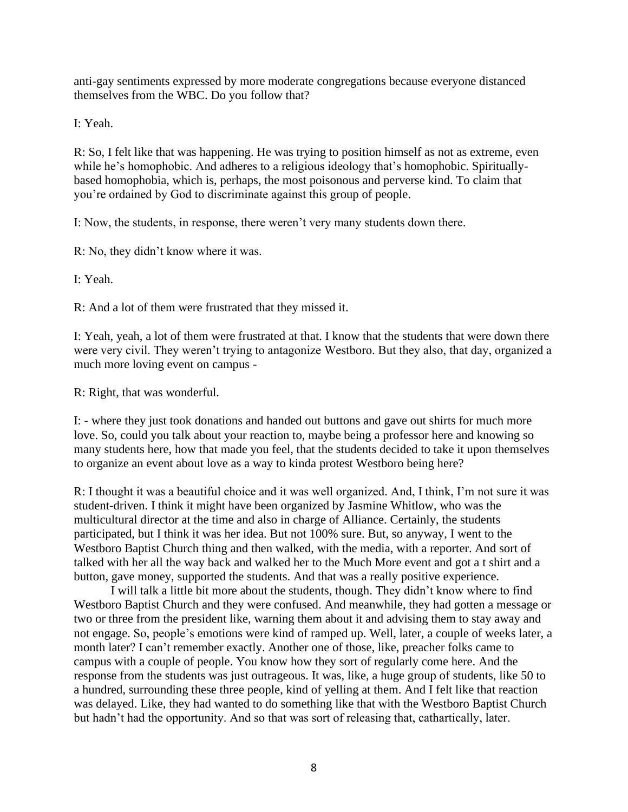anti-gay sentiments expressed by more moderate congregations because everyone distanced themselves from the WBC. Do you follow that?

I: Yeah.

R: So, I felt like that was happening. He was trying to position himself as not as extreme, even while he's homophobic. And adheres to a religious ideology that's homophobic. Spirituallybased homophobia, which is, perhaps, the most poisonous and perverse kind. To claim that you're ordained by God to discriminate against this group of people.

I: Now, the students, in response, there weren't very many students down there.

R: No, they didn't know where it was.

I: Yeah.

R: And a lot of them were frustrated that they missed it.

I: Yeah, yeah, a lot of them were frustrated at that. I know that the students that were down there were very civil. They weren't trying to antagonize Westboro. But they also, that day, organized a much more loving event on campus -

R: Right, that was wonderful.

I: - where they just took donations and handed out buttons and gave out shirts for much more love. So, could you talk about your reaction to, maybe being a professor here and knowing so many students here, how that made you feel, that the students decided to take it upon themselves to organize an event about love as a way to kinda protest Westboro being here?

R: I thought it was a beautiful choice and it was well organized. And, I think, I'm not sure it was student-driven. I think it might have been organized by Jasmine Whitlow, who was the multicultural director at the time and also in charge of Alliance. Certainly, the students participated, but I think it was her idea. But not 100% sure. But, so anyway, I went to the Westboro Baptist Church thing and then walked, with the media, with a reporter. And sort of talked with her all the way back and walked her to the Much More event and got a t shirt and a button, gave money, supported the students. And that was a really positive experience.

I will talk a little bit more about the students, though. They didn't know where to find Westboro Baptist Church and they were confused. And meanwhile, they had gotten a message or two or three from the president like, warning them about it and advising them to stay away and not engage. So, people's emotions were kind of ramped up. Well, later, a couple of weeks later, a month later? I can't remember exactly. Another one of those, like, preacher folks came to campus with a couple of people. You know how they sort of regularly come here. And the response from the students was just outrageous. It was, like, a huge group of students, like 50 to a hundred, surrounding these three people, kind of yelling at them. And I felt like that reaction was delayed. Like, they had wanted to do something like that with the Westboro Baptist Church but hadn't had the opportunity. And so that was sort of releasing that, cathartically, later.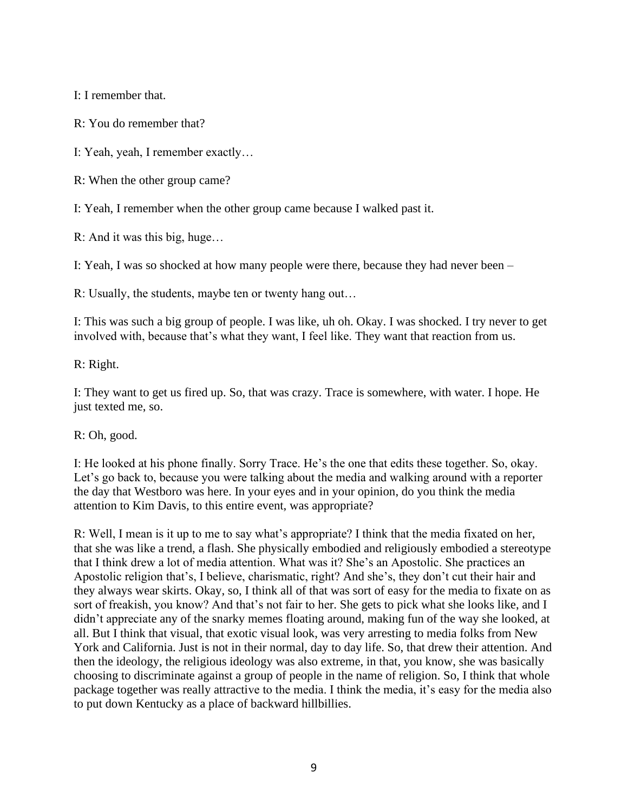I: I remember that.

R: You do remember that?

I: Yeah, yeah, I remember exactly…

R: When the other group came?

I: Yeah, I remember when the other group came because I walked past it.

R: And it was this big, huge…

I: Yeah, I was so shocked at how many people were there, because they had never been –

R: Usually, the students, maybe ten or twenty hang out…

I: This was such a big group of people. I was like, uh oh. Okay. I was shocked. I try never to get involved with, because that's what they want, I feel like. They want that reaction from us.

R: Right.

I: They want to get us fired up. So, that was crazy. Trace is somewhere, with water. I hope. He just texted me, so.

R: Oh, good.

I: He looked at his phone finally. Sorry Trace. He's the one that edits these together. So, okay. Let's go back to, because you were talking about the media and walking around with a reporter the day that Westboro was here. In your eyes and in your opinion, do you think the media attention to Kim Davis, to this entire event, was appropriate?

R: Well, I mean is it up to me to say what's appropriate? I think that the media fixated on her, that she was like a trend, a flash. She physically embodied and religiously embodied a stereotype that I think drew a lot of media attention. What was it? She's an Apostolic. She practices an Apostolic religion that's, I believe, charismatic, right? And she's, they don't cut their hair and they always wear skirts. Okay, so, I think all of that was sort of easy for the media to fixate on as sort of freakish, you know? And that's not fair to her. She gets to pick what she looks like, and I didn't appreciate any of the snarky memes floating around, making fun of the way she looked, at all. But I think that visual, that exotic visual look, was very arresting to media folks from New York and California. Just is not in their normal, day to day life. So, that drew their attention. And then the ideology, the religious ideology was also extreme, in that, you know, she was basically choosing to discriminate against a group of people in the name of religion. So, I think that whole package together was really attractive to the media. I think the media, it's easy for the media also to put down Kentucky as a place of backward hillbillies.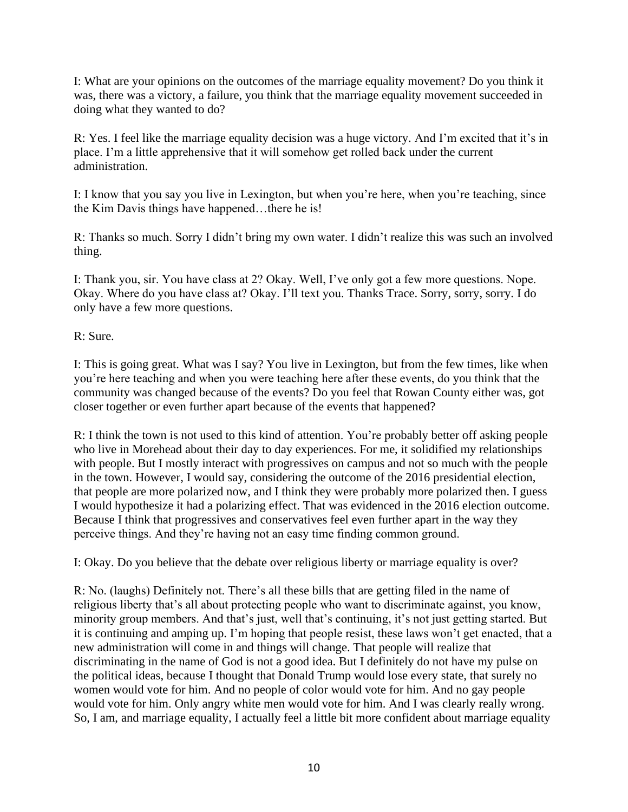I: What are your opinions on the outcomes of the marriage equality movement? Do you think it was, there was a victory, a failure, you think that the marriage equality movement succeeded in doing what they wanted to do?

R: Yes. I feel like the marriage equality decision was a huge victory. And I'm excited that it's in place. I'm a little apprehensive that it will somehow get rolled back under the current administration.

I: I know that you say you live in Lexington, but when you're here, when you're teaching, since the Kim Davis things have happened…there he is!

R: Thanks so much. Sorry I didn't bring my own water. I didn't realize this was such an involved thing.

I: Thank you, sir. You have class at 2? Okay. Well, I've only got a few more questions. Nope. Okay. Where do you have class at? Okay. I'll text you. Thanks Trace. Sorry, sorry, sorry. I do only have a few more questions.

R: Sure.

I: This is going great. What was I say? You live in Lexington, but from the few times, like when you're here teaching and when you were teaching here after these events, do you think that the community was changed because of the events? Do you feel that Rowan County either was, got closer together or even further apart because of the events that happened?

R: I think the town is not used to this kind of attention. You're probably better off asking people who live in Morehead about their day to day experiences. For me, it solidified my relationships with people. But I mostly interact with progressives on campus and not so much with the people in the town. However, I would say, considering the outcome of the 2016 presidential election, that people are more polarized now, and I think they were probably more polarized then. I guess I would hypothesize it had a polarizing effect. That was evidenced in the 2016 election outcome. Because I think that progressives and conservatives feel even further apart in the way they perceive things. And they're having not an easy time finding common ground.

I: Okay. Do you believe that the debate over religious liberty or marriage equality is over?

R: No. (laughs) Definitely not. There's all these bills that are getting filed in the name of religious liberty that's all about protecting people who want to discriminate against, you know, minority group members. And that's just, well that's continuing, it's not just getting started. But it is continuing and amping up. I'm hoping that people resist, these laws won't get enacted, that a new administration will come in and things will change. That people will realize that discriminating in the name of God is not a good idea. But I definitely do not have my pulse on the political ideas, because I thought that Donald Trump would lose every state, that surely no women would vote for him. And no people of color would vote for him. And no gay people would vote for him. Only angry white men would vote for him. And I was clearly really wrong. So, I am, and marriage equality, I actually feel a little bit more confident about marriage equality